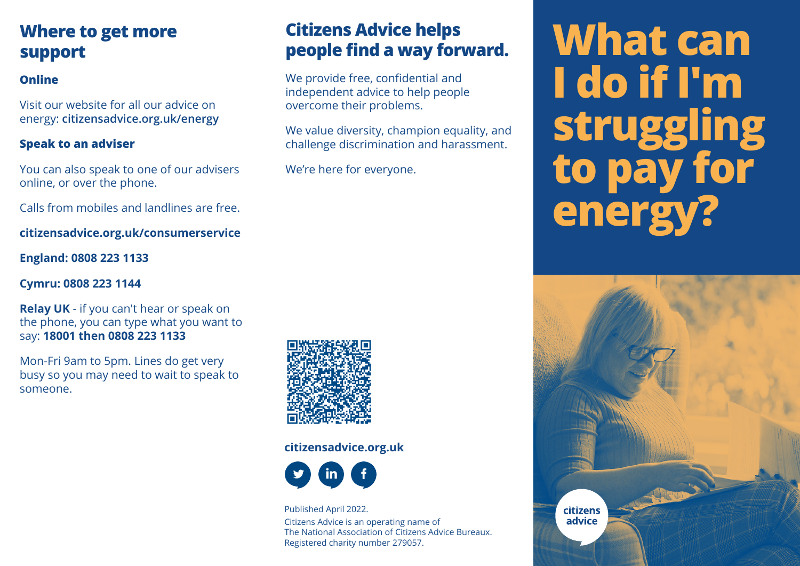## **Where to get more support**

## **Online**

Visit our website for all our advice on energy: **citizensadvice.org.uk/energy**

#### **Speak to an adviser**

You can also speak to one of our advisers online, or over the phone.

Calls from mobiles and landlines are free.

**citizensadvice.org.uk/consumerservice**

**England: 0808 223 1133**

#### **Cymru: 0808 223 1144**

**Relay UK** - if you can't hear or speak on the phone, you can type what you want to say: **18001 then 0808 223 1133**

Mon-Fri 9am to 5pm. Lines do get very busy so you may need to wait to speak to someone.



#### **citizensadvice.org.uk**



Published April 2022. Citizens Advice is an operating name of The National Association of Citizens Advice Bureaux. Registered charity number 279057.

**Citizens Advice helps**

We provide free, confidential and independent advice to help people

overcome their problems.

We're here for everyone.

**people find a way forward.**

We value diversity, champion equality, and challenge discrimination and harassment.

# **What can I do if I'm struggling to pay for energy?**